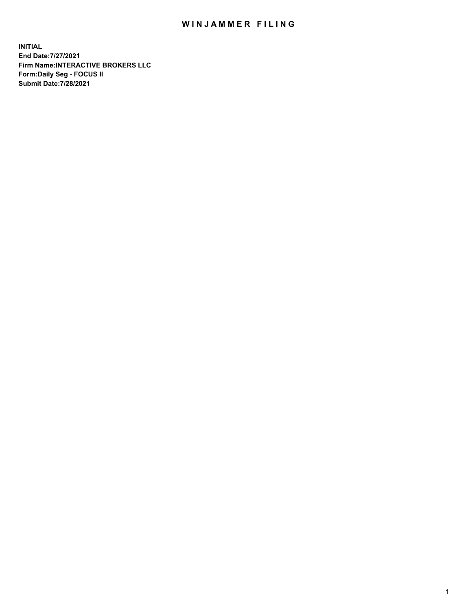## WIN JAMMER FILING

**INITIAL End Date:7/27/2021 Firm Name:INTERACTIVE BROKERS LLC Form:Daily Seg - FOCUS II Submit Date:7/28/2021**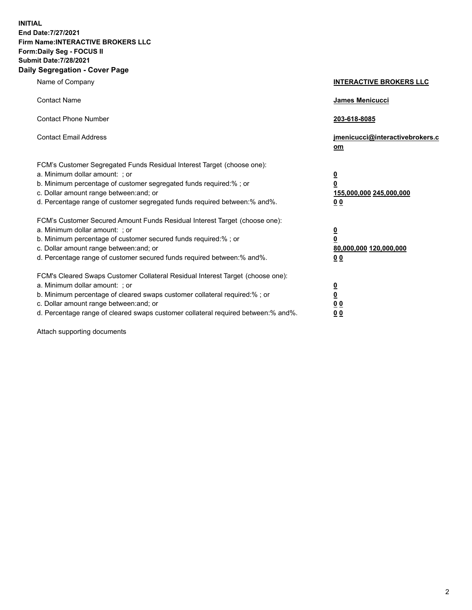**INITIAL End Date:7/27/2021 Firm Name:INTERACTIVE BROKERS LLC Form:Daily Seg - FOCUS II Submit Date:7/28/2021 Daily Segregation - Cover Page**

| Name of Company                                                                                                                                                                                                                                                                                                                | <b>INTERACTIVE BROKERS LLC</b>                                                     |
|--------------------------------------------------------------------------------------------------------------------------------------------------------------------------------------------------------------------------------------------------------------------------------------------------------------------------------|------------------------------------------------------------------------------------|
| <b>Contact Name</b>                                                                                                                                                                                                                                                                                                            | James Menicucci                                                                    |
| <b>Contact Phone Number</b>                                                                                                                                                                                                                                                                                                    | 203-618-8085                                                                       |
| <b>Contact Email Address</b>                                                                                                                                                                                                                                                                                                   | jmenicucci@interactivebrokers.c<br>om                                              |
| FCM's Customer Segregated Funds Residual Interest Target (choose one):<br>a. Minimum dollar amount: ; or<br>b. Minimum percentage of customer segregated funds required:% ; or<br>c. Dollar amount range between: and; or<br>d. Percentage range of customer segregated funds required between:% and%.                         | $\overline{\mathbf{0}}$<br>$\pmb{0}$<br>155,000,000 245,000,000<br>0 <sub>0</sub>  |
| FCM's Customer Secured Amount Funds Residual Interest Target (choose one):<br>a. Minimum dollar amount: ; or<br>b. Minimum percentage of customer secured funds required:% ; or<br>c. Dollar amount range between: and; or<br>d. Percentage range of customer secured funds required between:% and%.                           | $\overline{\mathbf{0}}$<br>$\overline{\mathbf{0}}$<br>80,000,000 120,000,000<br>00 |
| FCM's Cleared Swaps Customer Collateral Residual Interest Target (choose one):<br>a. Minimum dollar amount: ; or<br>b. Minimum percentage of cleared swaps customer collateral required:% ; or<br>c. Dollar amount range between: and; or<br>d. Percentage range of cleared swaps customer collateral required between:% and%. | $\frac{0}{0}$<br>0 <sub>0</sub><br>0 <sub>0</sub>                                  |

Attach supporting documents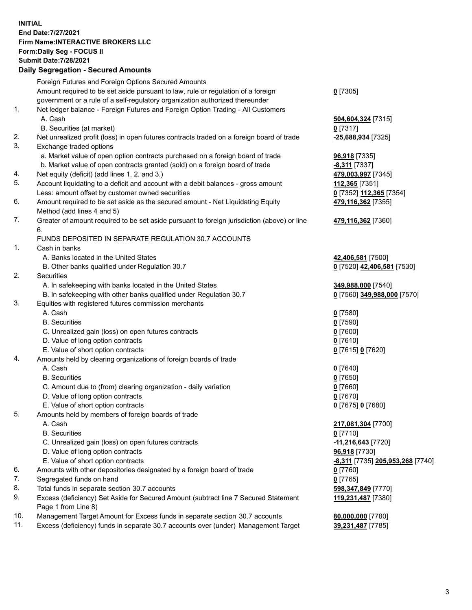**INITIAL End Date:7/27/2021 Firm Name:INTERACTIVE BROKERS LLC Form:Daily Seg - FOCUS II Submit Date:7/28/2021 Daily Segregation - Secured Amounts**

|     | $\frac{1}{2}$                                                                               |                                  |
|-----|---------------------------------------------------------------------------------------------|----------------------------------|
|     | Foreign Futures and Foreign Options Secured Amounts                                         |                                  |
|     | Amount required to be set aside pursuant to law, rule or regulation of a foreign            | $0$ [7305]                       |
|     | government or a rule of a self-regulatory organization authorized thereunder                |                                  |
| 1.  | Net ledger balance - Foreign Futures and Foreign Option Trading - All Customers             |                                  |
|     | A. Cash                                                                                     | 504,604,324 [7315]               |
|     | B. Securities (at market)                                                                   | $0$ [7317]                       |
| 2.  | Net unrealized profit (loss) in open futures contracts traded on a foreign board of trade   | -25,688,934 [7325]               |
| 3.  | Exchange traded options                                                                     |                                  |
|     | a. Market value of open option contracts purchased on a foreign board of trade              | <b>96,918</b> [7335]             |
|     | b. Market value of open contracts granted (sold) on a foreign board of trade                | <b>8,311</b> [7337]              |
| 4.  | Net equity (deficit) (add lines 1. 2. and 3.)                                               | 479,003,997 [7345]               |
| 5.  | Account liquidating to a deficit and account with a debit balances - gross amount           | 112,365 [7351]                   |
|     | Less: amount offset by customer owned securities                                            | 0 [7352] 112,365 [7354]          |
| 6.  | Amount required to be set aside as the secured amount - Net Liquidating Equity              | 479,116,362 [7355]               |
|     | Method (add lines 4 and 5)                                                                  |                                  |
| 7.  | Greater of amount required to be set aside pursuant to foreign jurisdiction (above) or line | 479,116,362 [7360]               |
|     | 6.                                                                                          |                                  |
|     | FUNDS DEPOSITED IN SEPARATE REGULATION 30.7 ACCOUNTS                                        |                                  |
| 1.  | Cash in banks                                                                               |                                  |
|     | A. Banks located in the United States                                                       | 42,406,581 [7500]                |
|     | B. Other banks qualified under Regulation 30.7                                              | 0 [7520] 42,406,581 [7530]       |
| 2.  | Securities                                                                                  |                                  |
|     | A. In safekeeping with banks located in the United States                                   | 349,988,000 [7540]               |
|     | B. In safekeeping with other banks qualified under Regulation 30.7                          | 0 [7560] 349,988,000 [7570]      |
| 3.  | Equities with registered futures commission merchants                                       |                                  |
|     | A. Cash                                                                                     | $0$ [7580]                       |
|     | <b>B.</b> Securities                                                                        | $0$ [7590]                       |
|     | C. Unrealized gain (loss) on open futures contracts                                         | $0$ [7600]                       |
|     | D. Value of long option contracts                                                           | $0$ [7610]                       |
|     | E. Value of short option contracts                                                          | 0 [7615] 0 [7620]                |
| 4.  | Amounts held by clearing organizations of foreign boards of trade                           |                                  |
|     | A. Cash                                                                                     | $0$ [7640]                       |
|     | <b>B.</b> Securities                                                                        | $0$ [7650]                       |
|     | C. Amount due to (from) clearing organization - daily variation                             | $0$ [7660]                       |
|     | D. Value of long option contracts                                                           | $0$ [7670]                       |
|     | E. Value of short option contracts                                                          | 0 [7675] 0 [7680]                |
| 5.  | Amounts held by members of foreign boards of trade                                          |                                  |
|     | A. Cash                                                                                     | 217,081,304 [7700]               |
|     | <b>B.</b> Securities                                                                        | $0$ [7710]                       |
|     | C. Unrealized gain (loss) on open futures contracts                                         | -11,216,643 <sup>[7720]</sup>    |
|     | D. Value of long option contracts                                                           | 96,918 [7730]                    |
|     | E. Value of short option contracts                                                          | -8,311 [7735] 205,953,268 [7740] |
| 6.  | Amounts with other depositories designated by a foreign board of trade                      | $0$ [7760]                       |
| 7.  | Segregated funds on hand                                                                    | $0$ [7765]                       |
| 8.  | Total funds in separate section 30.7 accounts                                               | 598,347,849 [7770]               |
| 9.  | Excess (deficiency) Set Aside for Secured Amount (subtract line 7 Secured Statement         | 119,231,487 [7380]               |
|     | Page 1 from Line 8)                                                                         |                                  |
| 10. | Management Target Amount for Excess funds in separate section 30.7 accounts                 | 80,000,000 [7780]                |
| 11. | Excess (deficiency) funds in separate 30.7 accounts over (under) Management Target          | 39,231,487 [7785]                |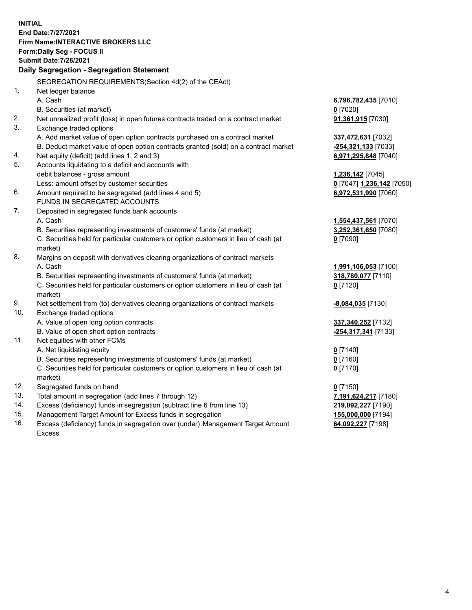**INITIAL End Date:7/27/2021 Firm Name:INTERACTIVE BROKERS LLC Form:Daily Seg - FOCUS II Submit Date:7/28/2021 Daily Segregation - Segregation Statement** SEGREGATION REQUIREMENTS(Section 4d(2) of the CEAct) 1. Net ledger balance A. Cash **6,796,782,435** [7010] B. Securities (at market) **0** [7020] 2. Net unrealized profit (loss) in open futures contracts traded on a contract market **91,361,915** [7030] 3. Exchange traded options A. Add market value of open option contracts purchased on a contract market **337,472,631** [7032] B. Deduct market value of open option contracts granted (sold) on a contract market **-254,321,133** [7033] 4. Net equity (deficit) (add lines 1, 2 and 3) **6,971,295,848** [7040] 5. Accounts liquidating to a deficit and accounts with debit balances - gross amount **1,236,142** [7045] Less: amount offset by customer securities **0** [7047] **1,236,142** [7050] 6. Amount required to be segregated (add lines 4 and 5) **6,972,531,990** [7060] FUNDS IN SEGREGATED ACCOUNTS 7. Deposited in segregated funds bank accounts A. Cash **1,554,437,561** [7070] B. Securities representing investments of customers' funds (at market) **3,252,361,650** [7080] C. Securities held for particular customers or option customers in lieu of cash (at market) **0** [7090] 8. Margins on deposit with derivatives clearing organizations of contract markets A. Cash **1,991,106,053** [7100] B. Securities representing investments of customers' funds (at market) **318,780,077** [7110] C. Securities held for particular customers or option customers in lieu of cash (at market) **0** [7120] 9. Net settlement from (to) derivatives clearing organizations of contract markets **-8,084,035** [7130] 10. Exchange traded options A. Value of open long option contracts **337,340,252** [7132] B. Value of open short option contracts **-254,317,341** [7133] 11. Net equities with other FCMs A. Net liquidating equity **0** [7140] B. Securities representing investments of customers' funds (at market) **0** [7160] C. Securities held for particular customers or option customers in lieu of cash (at market) **0** [7170] 12. Segregated funds on hand **0** [7150] 13. Total amount in segregation (add lines 7 through 12) **7,191,624,217** [7180] 14. Excess (deficiency) funds in segregation (subtract line 6 from line 13) **219,092,227** [7190] 15. Management Target Amount for Excess funds in segregation **155,000,000** [7194] **64,092,227** [7198]

16. Excess (deficiency) funds in segregation over (under) Management Target Amount Excess